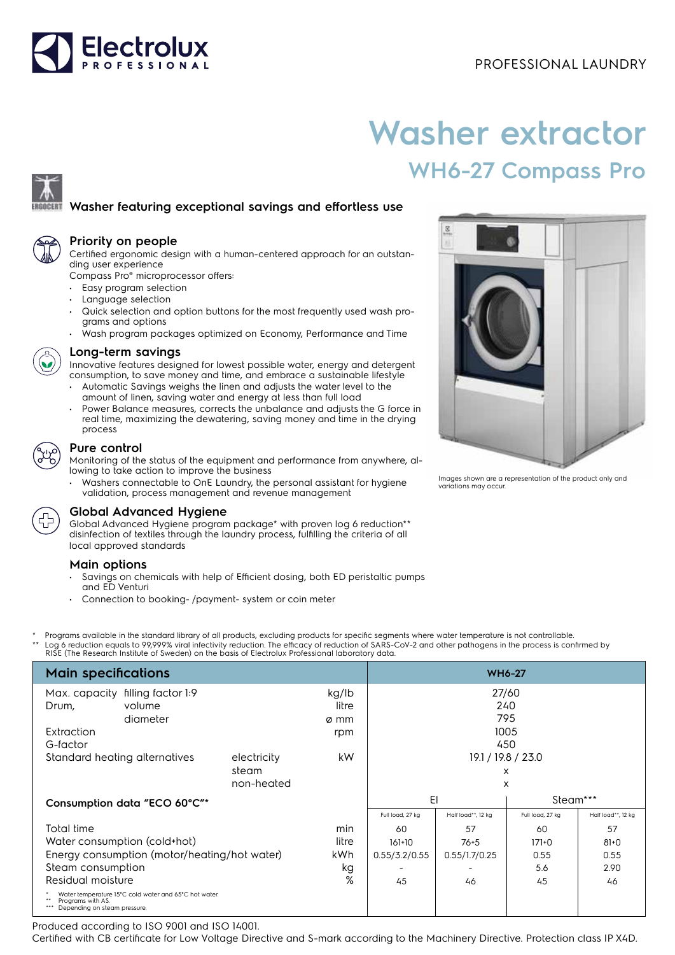# Electrolux

# **Washer extractor WH6-27 Compass Pro**

## **Washer featuring exceptional savings and effortless use**



### **Priority on people**

Certified ergonomic design with a human-centered approach for an outstanding user experience

Compass Pro® microprocessor offers:

- Easy program selection
- Language selection
- Quick selection and option buttons for the most frequently used wash programs and options
- Wash program packages optimized on Economy, Performance and Time



#### **Long-term savings**

Innovative features designed for lowest possible water, energy and detergent consumption, to save money and time, and embrace a sustainable lifestyle

- Automatic Savings weighs the linen and adjusts the water level to the amount of linen, saving water and energy at less than full load
- Power Balance measures, corrects the unbalance and adjusts the G force in real time, maximizing the dewatering, saving money and time in the drying process

### **Pure control**

Monitoring of the status of the equipment and performance from anywhere, allowing to take action to improve the business

• Washers connectable to OnE Laundry, the personal assistant for hygiene validation, process management and revenue management



Global Advanced Hygiene program package\* with proven log 6 reduction\*\* disinfection of textiles through the laundry process, fulfilling the criteria of all local approved standards

#### **Main options**

- Savings on chemicals with help of Efficient dosing, both ED peristaltic pumps and ED Venturi
- Connection to booking- /payment- system or coin meter

Programs available in the standard library of all products, excluding products for specific segments where water temperature is not controllable. \*\* Log 6 reduction equals to 99,999% viral infectivity reduction. The efficacy of reduction of SARS-CoV-2 and other pathogens in the process is confirmed by<br>RISE (The Research Institute of Sweden) on the basis of Electrolu

| <b>Main specifications</b>                                                                                 | <b>WH6-27</b> |                |                  |                    |                  |                    |  |
|------------------------------------------------------------------------------------------------------------|---------------|----------------|------------------|--------------------|------------------|--------------------|--|
| filling factor 1:9<br>Max. capacity<br>volume<br>Drum,                                                     |               | kg/lb<br>litre | 27/60<br>240     |                    |                  |                    |  |
| diameter                                                                                                   |               | ø mm           |                  | 795                |                  |                    |  |
| Extraction                                                                                                 |               | rpm            |                  | 1005               |                  |                    |  |
| G-factor                                                                                                   |               |                |                  | 450                |                  |                    |  |
| Standard heating alternatives                                                                              | electricity   | kW             |                  | 19.1 / 19.8 / 23.0 |                  |                    |  |
|                                                                                                            | steam         |                |                  |                    | X                |                    |  |
|                                                                                                            | non-heated    |                |                  | X                  |                  |                    |  |
| Consumption data "ECO 60°C"*                                                                               |               |                | EI               |                    |                  | Steam***           |  |
|                                                                                                            |               |                | Full load, 27 kg | Half load**, 12 kg | Full load, 27 kg | Half load**, 12 kg |  |
| Total time                                                                                                 |               | min            | 60               | 57                 | 60               | 57                 |  |
| Water consumption (cold+hot)                                                                               | litre         | $161+10$       | $76 + 5$         | $171+0$            | $81 + 0$         |                    |  |
| Energy consumption (motor/heating/hot water)                                                               | kWh.          | 0.55/3.2/0.55  | 0.55/1.7/0.25    | 0.55               | 0.55             |                    |  |
| Steam consumption                                                                                          |               | kg             |                  |                    | 5.6              | 2.90               |  |
| Residual moisture                                                                                          |               | %              | 45               | 46                 | 45               | 46                 |  |
| Water temperature 15°C cold water and 65°C hot water.<br>Programs with AS.<br>Depending on steam pressure. |               |                |                  |                    |                  |                    |  |

Produced according to ISO 9001 and ISO 14001.

Certified with CB certificate for Low Voltage Directive and S-mark according to the Machinery Directive. Protection class IP X4D.



Images shown are a representation of the product only and variations may occur.